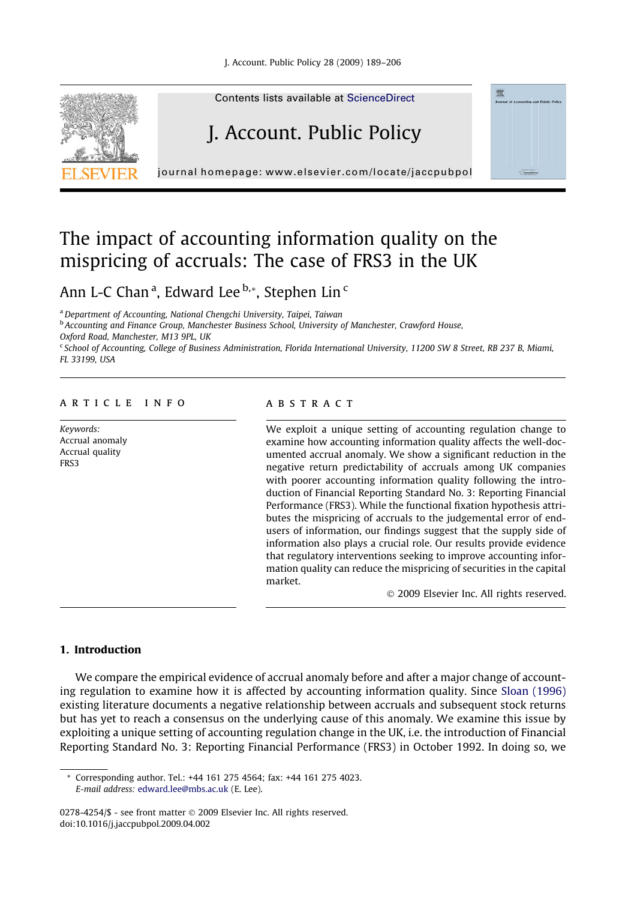

Contents lists available at [ScienceDirect](http://www.sciencedirect.com/science/journal/02784254)

# J. Account. Public Policy

journal homepage: [www.elsevier.com/locate/jaccpubpol](http://www.elsevier.com/locate/jaccpubpol)

## The impact of accounting information quality on the mispricing of accruals: The case of FRS3 in the UK

Ann L-C Chan <sup>a</sup>, Edward Lee <sup>b,</sup>\*, Stephen Lin <sup>c</sup>

<sup>a</sup>Department of Accounting, National Chengchi University, Taipei, Taiwan

**b Accounting and Finance Group, Manchester Business School, University of Manchester, Crawford House,** 

Oxford Road, Manchester, M13 9PL, UK

<sup>c</sup> School of Accounting, College of Business Administration, Florida International University, 11200 SW 8 Street, RB 237 B, Miami, FL 33199, USA

### article info

Keywords: Accrual anomaly Accrual quality FRS3

#### abstract

We exploit a unique setting of accounting regulation change to examine how accounting information quality affects the well-documented accrual anomaly. We show a significant reduction in the negative return predictability of accruals among UK companies with poorer accounting information quality following the introduction of Financial Reporting Standard No. 3: Reporting Financial Performance (FRS3). While the functional fixation hypothesis attributes the mispricing of accruals to the judgemental error of endusers of information, our findings suggest that the supply side of information also plays a crucial role. Our results provide evidence that regulatory interventions seeking to improve accounting information quality can reduce the mispricing of securities in the capital market.

© 2009 Elsevier Inc. All rights reserved.

### 1. Introduction

We compare the empirical evidence of accrual anomaly before and after a major change of accounting regulation to examine how it is affected by accounting information quality. Since [Sloan \(1996\)](#page--1-0) existing literature documents a negative relationship between accruals and subsequent stock returns but has yet to reach a consensus on the underlying cause of this anomaly. We examine this issue by exploiting a unique setting of accounting regulation change in the UK, i.e. the introduction of Financial Reporting Standard No. 3: Reporting Financial Performance (FRS3) in October 1992. In doing so, we

Corresponding author. Tel.: +44 161 275 4564; fax: +44 161 275 4023. E-mail address: [edward.lee@mbs.ac.uk](mailto:edward.lee@mbs.ac.uk) (E. Lee).

<sup>0278-4254/\$ -</sup> see front matter @ 2009 Elsevier Inc. All rights reserved. doi:10.1016/j.jaccpubpol.2009.04.002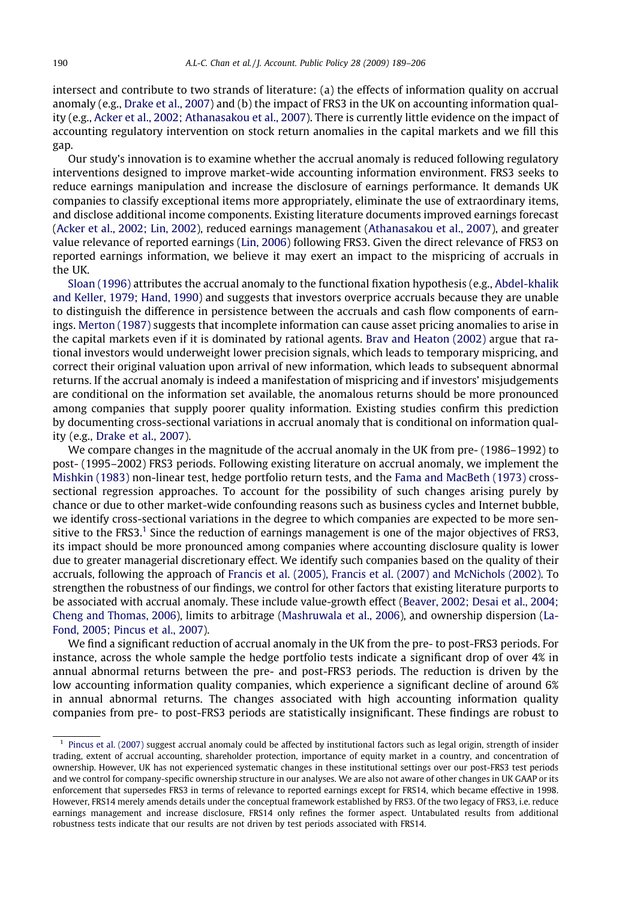intersect and contribute to two strands of literature: (a) the effects of information quality on accrual anomaly (e.g., [Drake et al., 2007\)](#page--1-0) and (b) the impact of FRS3 in the UK on accounting information quality (e.g., [Acker et al., 2002; Athanasakou et al., 2007](#page--1-0)). There is currently little evidence on the impact of accounting regulatory intervention on stock return anomalies in the capital markets and we fill this gap.

Our study's innovation is to examine whether the accrual anomaly is reduced following regulatory interventions designed to improve market-wide accounting information environment. FRS3 seeks to reduce earnings manipulation and increase the disclosure of earnings performance. It demands UK companies to classify exceptional items more appropriately, eliminate the use of extraordinary items, and disclose additional income components. Existing literature documents improved earnings forecast ([Acker et al., 2002; Lin, 2002\)](#page--1-0), reduced earnings management ([Athanasakou et al., 2007\)](#page--1-0), and greater value relevance of reported earnings [\(Lin, 2006\)](#page--1-0) following FRS3. Given the direct relevance of FRS3 on reported earnings information, we believe it may exert an impact to the mispricing of accruals in the UK.

[Sloan \(1996\)](#page--1-0) attributes the accrual anomaly to the functional fixation hypothesis (e.g., [Abdel-khalik](#page--1-0) [and Keller, 1979; Hand, 1990](#page--1-0)) and suggests that investors overprice accruals because they are unable to distinguish the difference in persistence between the accruals and cash flow components of earnings. [Merton \(1987\)](#page--1-0) suggests that incomplete information can cause asset pricing anomalies to arise in the capital markets even if it is dominated by rational agents. [Brav and Heaton \(2002\)](#page--1-0) argue that rational investors would underweight lower precision signals, which leads to temporary mispricing, and correct their original valuation upon arrival of new information, which leads to subsequent abnormal returns. If the accrual anomaly is indeed a manifestation of mispricing and if investors' misjudgements are conditional on the information set available, the anomalous returns should be more pronounced among companies that supply poorer quality information. Existing studies confirm this prediction by documenting cross-sectional variations in accrual anomaly that is conditional on information quality (e.g., [Drake et al., 2007\)](#page--1-0).

We compare changes in the magnitude of the accrual anomaly in the UK from pre- (1986–1992) to post- (1995–2002) FRS3 periods. Following existing literature on accrual anomaly, we implement the [Mishkin \(1983\)](#page--1-0) non-linear test, hedge portfolio return tests, and the [Fama and MacBeth \(1973\)](#page--1-0) crosssectional regression approaches. To account for the possibility of such changes arising purely by chance or due to other market-wide confounding reasons such as business cycles and Internet bubble, we identify cross-sectional variations in the degree to which companies are expected to be more sensitive to the FRS3.<sup>1</sup> Since the reduction of earnings management is one of the major objectives of FRS3, its impact should be more pronounced among companies where accounting disclosure quality is lower due to greater managerial discretionary effect. We identify such companies based on the quality of their accruals, following the approach of [Francis et al. \(2005\), Francis et al. \(2007\) and McNichols \(2002\).](#page--1-0) To strengthen the robustness of our findings, we control for other factors that existing literature purports to be associated with accrual anomaly. These include value-growth effect ([Beaver, 2002; Desai et al., 2004;](#page--1-0) [Cheng and Thomas, 2006](#page--1-0)), limits to arbitrage [\(Mashruwala et al., 2006](#page--1-0)), and ownership dispersion [\(La-](#page--1-0)[Fond, 2005; Pincus et al., 2007\)](#page--1-0).

We find a significant reduction of accrual anomaly in the UK from the pre- to post-FRS3 periods. For instance, across the whole sample the hedge portfolio tests indicate a significant drop of over 4% in annual abnormal returns between the pre- and post-FRS3 periods. The reduction is driven by the low accounting information quality companies, which experience a significant decline of around 6% in annual abnormal returns. The changes associated with high accounting information quality companies from pre- to post-FRS3 periods are statistically insignificant. These findings are robust to

<sup>&</sup>lt;sup>1</sup> [Pincus et al. \(2007\)](#page--1-0) suggest accrual anomaly could be affected by institutional factors such as legal origin, strength of insider trading, extent of accrual accounting, shareholder protection, importance of equity market in a country, and concentration of ownership. However, UK has not experienced systematic changes in these institutional settings over our post-FRS3 test periods and we control for company-specific ownership structure in our analyses. We are also not aware of other changes in UK GAAP or its enforcement that supersedes FRS3 in terms of relevance to reported earnings except for FRS14, which became effective in 1998. However, FRS14 merely amends details under the conceptual framework established by FRS3. Of the two legacy of FRS3, i.e. reduce earnings management and increase disclosure, FRS14 only refines the former aspect. Untabulated results from additional robustness tests indicate that our results are not driven by test periods associated with FRS14.